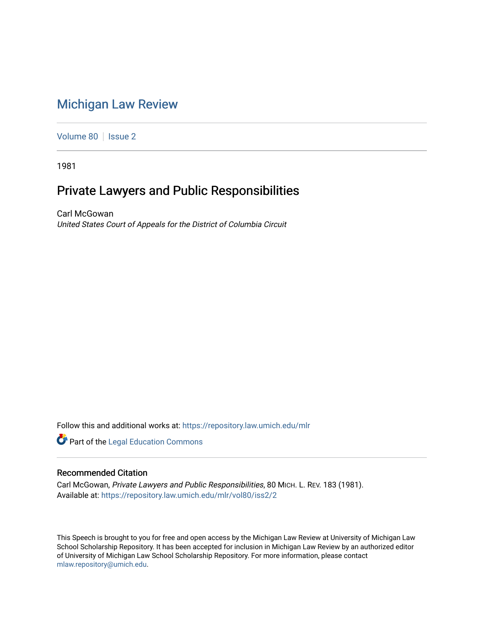## [Michigan Law Review](https://repository.law.umich.edu/mlr)

[Volume 80](https://repository.law.umich.edu/mlr/vol80) | [Issue 2](https://repository.law.umich.edu/mlr/vol80/iss2)

1981

# Private Lawyers and Public Responsibilities

Carl McGowan United States Court of Appeals for the District of Columbia Circuit

Follow this and additional works at: [https://repository.law.umich.edu/mlr](https://repository.law.umich.edu/mlr?utm_source=repository.law.umich.edu%2Fmlr%2Fvol80%2Fiss2%2F2&utm_medium=PDF&utm_campaign=PDFCoverPages) 

**Part of the Legal Education Commons** 

### Recommended Citation

Carl McGowan, Private Lawyers and Public Responsibilities, 80 MICH. L. REV. 183 (1981). Available at: [https://repository.law.umich.edu/mlr/vol80/iss2/2](https://repository.law.umich.edu/mlr/vol80/iss2/2?utm_source=repository.law.umich.edu%2Fmlr%2Fvol80%2Fiss2%2F2&utm_medium=PDF&utm_campaign=PDFCoverPages)

This Speech is brought to you for free and open access by the Michigan Law Review at University of Michigan Law School Scholarship Repository. It has been accepted for inclusion in Michigan Law Review by an authorized editor of University of Michigan Law School Scholarship Repository. For more information, please contact [mlaw.repository@umich.edu.](mailto:mlaw.repository@umich.edu)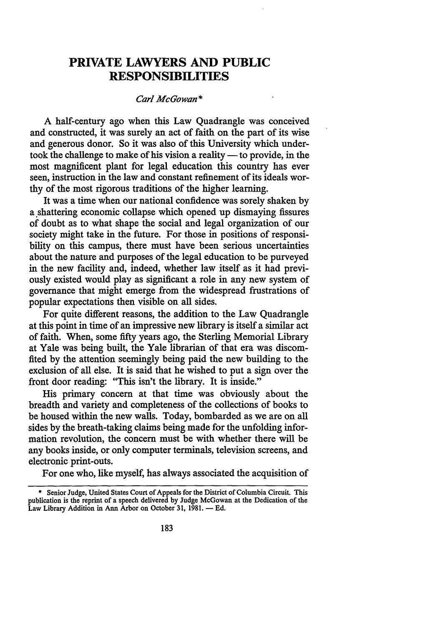### **PRIVATE LAWYERS AND PUBLIC RESPONSIBILITIES**

#### *Carl McGowan\**

A half-century ago when this Law Quadrangle was conceived and constructed, it was surely an act of faith on the part of its wise and generous donor. So it was also of this University which undertook the challenge to make of his vision a reality — to provide, in the most magnificent plant for legal education this country has ever seen, instruction in the law and constant refinement of its ideals worthy of the most rigorous traditions of the higher learning.

It was a time when our national confidence was sorely shaken by a.shattering economic collapse which opened up dismaying fissures of doubt as to what shape the social and legal organization of our society might take in the future. For those in positions of responsibility on this campus, there must have been serious uncertainties about the nature and purposes of the legal education to be purveyed in the new facility and, indeed, whether law itself as it had previously existed would play as significant a role in any new system of governance that might emerge from the widespread frustrations of popular expectations then visible on all sides.

For quite different reasons, the addition to the Law Quadrangle at this point in time of an impressive new library is itself a similar act of faith. When, some fifty years ago, the Sterling Memorial Library at Yale was being built, the Yale librarian of that era was discomfited by the attention seemingly being paid the new building to the exclusion of all else. It is said that he wished to put a sign over the front door reading: "This isn't the library. It is inside."

His primary concern at that time was obviously about the breadth and variety and completeness of the collections of books to be housed within the new walls. Today, bombarded as we are on all sides by the breath-taking claims being made for the unfolding information revolution, the concern must be with whether there will be any books inside, or only computer terminals, television screens, and electronic print-outs.

For one who, like myself, has always associated the acquisition of

<sup>,.</sup> Senior Judge, United States Court of Appeals for the District of Columbia Circuit. This publication is the reprint of a speech delivered by Judge McGowan at the Dedication of the Law Library Addition in Ann Arbor on October 31, 1981. - Ed.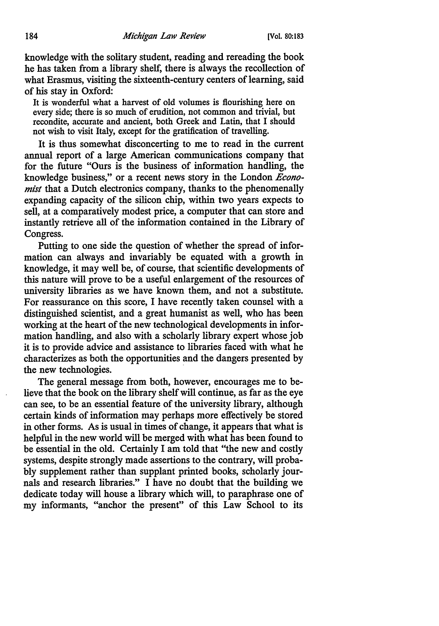knowledge with the solitary student, reading and rereading the book he has taken from a library shelf, there is always the recollection of what Erasmus, visiting the sixteenth-century centers of learning, said of his stay in Oxford:

It is wonderful what a harvest of old volumes is flourishing here on every side; there is so much of erudition, not common and trivial, but recondite, accurate and ancient, both Greek and Latin, that I should not wish to visit Italy, except for the gratification of travelling.

It is thus somewhat disconcerting to me to read in the current annual report of a large American communications company that for the future "Ours is the business of information handling, the knowledge business," or a recent news story in the London *Economist* that a Dutch electronics company, thanks to the phenomenally expanding capacity of the silicon chip, within two years expects to sell, at a comparatively modest price, a computer that can store and instantly retrieve all of the information contained in the Library of Congress.

Putting to one side the question of whether the spread of information can always and invariably be equated with a growth in knowledge, it may well be, of course, that scientific developments of this nature will prove to be a useful enlargement of the resources of university libraries as we have known them, and not a substitute. For reassurance on this score, I have recently taken counsel with a distinguished scientist, and a great humanist as well, who has been working at the heart of the new technological developments in information handling, and also with a scholarly library expert whose job it is to provide advice and assistance to libraries faced with what he characterizes as both the opportunities and the dangers presented by the new technologies.

The general message from both, however, encourages me to believe that the book on the library shelf will continue, as far as the eye can see, to be an essential feature of the university library, although certain kinds of information may perhaps more effectively be stored in other forms. As is usual in times of change, it appears that what is helpful in the new world will be merged with what has been found to be essential in the old. Certainly I am told that "the new and costly systems, despite strongly made assertions to the contrary, will probably supplement rather than supplant printed books, scholarly journals and research libraries." I have no doubt that the building we dedicate today will house a library which will, to paraphrase one of my informants, "anchor the present" of this Law School to its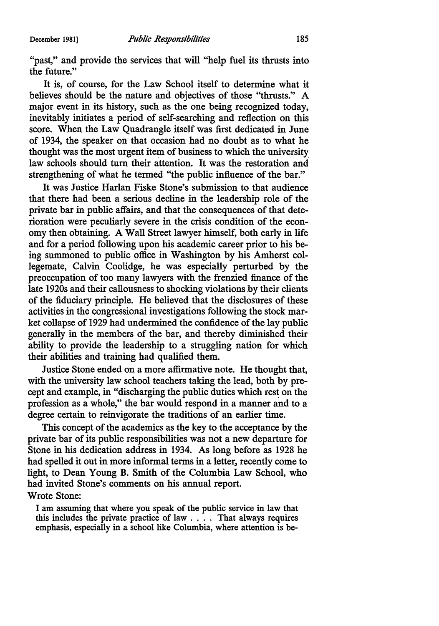"past," and provide the services that will "help fuel its thrusts into the future."

It is, of course, for the Law School itself to determine what it believes should be the nature and objectives of those "thrusts." A major event in its history, such as the one being recognized today, inevitably initiates a period of self-searching and reflection on this score. When the Law Quadrangle itself was first dedicated in June of 1934, the speaker on that occasion had no doubt as to what he thought was the most urgent item of business to which the university law schools should tum their attention. It was the restoration and strengthening of what he termed "the public influence of the bar."

It was Justice Harlan Fiske Stone's submission to that audience that there had been a serious decline in the leadership role of the private bar in public affairs, and that the consequences of that deterioration were peculiarly severe in the crisis condition of the economy then obtaining. A Wall Street lawyer himself, both early in life and for a period following upon his academic career prior to his being summoned to public office in Washington by his Amherst collegemate, Calvin Coolidge, he was especially perturbed by the preoccupation of too many lawyers with the frenzied finance of the late 1920s and their callousness to shocking violations by their clients of the fiduciary principle. He believed that the disclosures of these activities in the congressional investigations following the stock market collapse of 1929 had undermined the confidence of the lay public generally in the members of the bar, and thereby diminished their ability to provide the leadership to a struggling nation for which their abilities and training had qualified them.

Justice Stone ended on a more affirmative note. He thought that, with the university law school teachers taking the lead, both by precept and example, in "discharging the public duties which rest on the profession as a whole," the bar would respond in a manner and to a degree certain to reinvigorate the traditions of an earlier time.

This concept of the academics as the key to the acceptance by the private bar of its public responsibilities was not a new departure for Stone in his dedication address in 1934. As long before as 1928 he had spelled it out in more informal terms in a letter, recently come to light, to Dean Young B. Smith of the Columbia Law School, who had invited Stone's comments on his annual report. Wrote Stone:

I am assuming that where you speak of the public service in law that this includes the private practice of law . . . . That always requires emphasis, especially in a school like Columbia, where attention is be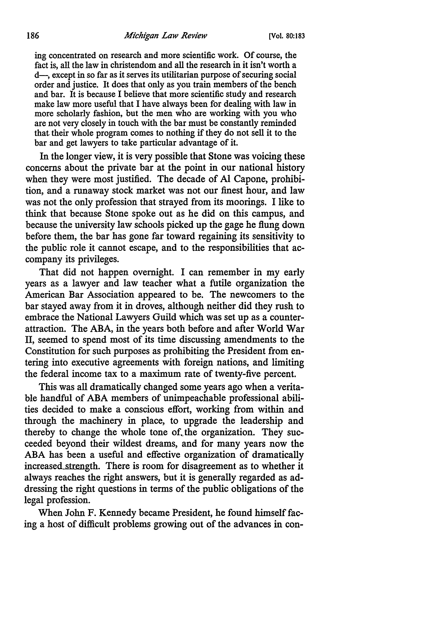ing concentrated on research and more scientific work. Of course, the fact is, all the law in christendom and all the research in it isn't worth a d-, except in so far as it serves its utilitarian purpose of securing social order and justice. It does that only as you train members of the bench and bar. It is because I believe that more scientific study and research make law more useful that I have always been for dealing with law in more scholarly fashion, but the men who are working with you who are not very closely in touch with the bar must be constantly reminded that their whole program comes to nothing if they do not sell it to the bar and get lawyers to take particular advantage of it.

In the longer view, it is very possible that Stone was voicing these concerns about the private bar at the point in our national history when they were most justified. The decade of Al Capone, prohibition, and a runaway stock market was not our finest hour, and law was not the only profession that strayed from its moorings. I like to think that because Stone spoke out as he did on this campus, and because the university law schools picked up the gage he flung down before them, the bar has gone far toward regaining its sensitivity to the public role it cannot escape, and to the responsibilities that accompany its privileges.

That did not happen overnight. I can remember in my early years as a lawyer and law teacher what a futile organization the American Bar Association appeared to be. The newcomers to the bar stayed away from it in droves, although neither did they rush to embrace the National Lawyers Guild which was set up as a counterattraction. The ABA, in the years both before and after World War II, seemed to spend most of its time discussing amendments to the Constitution for such purposes as prohibiting the President from entering into executive agreements with foreign nations, and limiting the federal income tax to a maximum rate of twenty-five percent.

This was all dramatically changed some years ago when a veritable handful of ABA members of unimpeachable professional abilities decided to make a conscious effort, working from within and through the machinery in place, to upgrade the leadership and thereby to change the whole tone of the organization. They succeeded beyond their wildest dreams, and for many years now the ABA has been a useful and effective organization of dramatically increased strength. There is room for disagreement as to whether it always reaches the right answers, but it is generally regarded as addressing the right questions in terms of the public obligations of the legal profession.

When John F. Kennedy became President, he found himself facing a host of difficult problems growing out of the advances in con-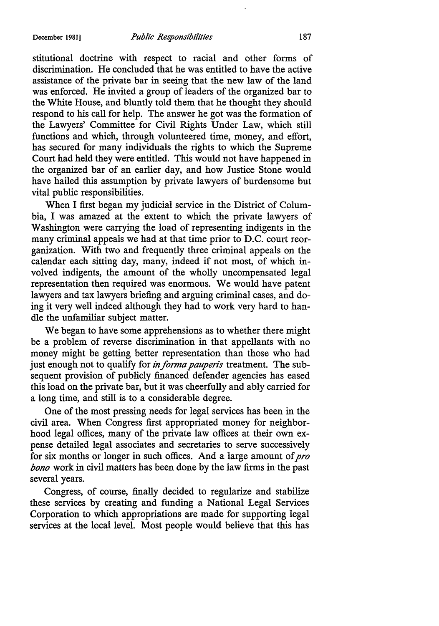stitutional doctrine with respect to racial and other forms of discrimination. He concluded that he was entitled to have the active assistance of the private bar in seeing that the new law of the land was enforced. He invited a group of leaders of the organized bar to the White House, and bluntly told them that he thought they should respond to his call for help. The answer he got was the formation of the Lawyers' Committee for Civil Rights Under Law, which still functions and which, through volunteered time, money, and effort, has secured for many individuals the rights to which the Supreme Court had held they were entitled. This would not have happened in the organized bar of an earlier day, and how Justice Stone would have hailed this assumption by private lawyers of burdensome but vital public responsibilities.

When I first began my judicial service in the District of Columbia, I was amazed at the extent to which the private lawyers of Washington were carrying the load of representing indigents in the many criminal appeals we had at that time prior to D.C. court reorganization. With two and frequently three criminal appeals on the calendar each sitting day, many, indeed if not most, of which involved indigents, the amount of the wholly uncompensated legal representation then required was enormous. We would have patent lawyers and tax lawyers briefing and arguing criminal cases, and doing it very well indeed although they had to work very hard to handle the unfamiliar subject matter.

We began to have some apprehensions as to whether there might be a problem of reverse discrimination in that appellants with no money might be getting better representation than those who had just enough not to qualify for *in forma pauperis* treatment. The subsequent provision of publicly financed defender agencies has eased this load on the private bar, but it was cheerfully and ably carried for a long time, and still is to a considerable degree.

One of the most pressing needs for legal services has been in the civil area. When Congress first appropriated money for neighborhood legal offices, many of the private law offices at their own expense detailed legal associates and secretaries to serve successively for six months or longer in such offices. And a large amount of *pro bono* work in civil matters has been done by the law firms in the past several years.

Congress, of course, finally decided to regularize and stabilize these services by creating and funding a National Legal Services Corporation to which appropriations are made for supporting legal services at the local level. Most people would believe that this has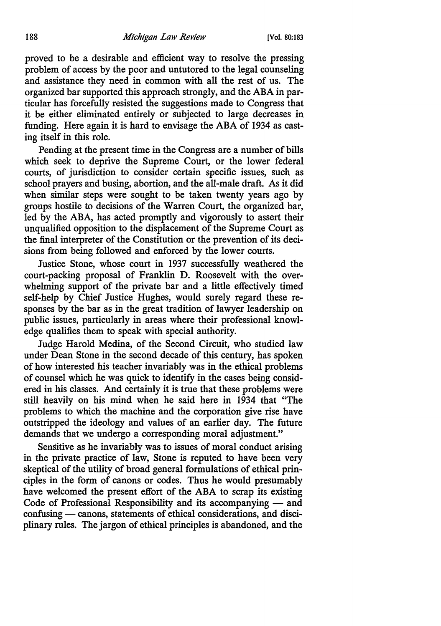proved to be a desirable and efficient way to resolve the pressing problem of access by the poor and untutored to the legal counseling and assistance they need in common with all the rest of us. The organized bar supported this approach strongly, and the ABA in particular has forcefully resisted the suggestions made to Congress that it be either eliminated entirely or subjected to large decreases in funding. Here again it is hard to envisage the ABA of 1934 as casting itself in this role.

Pending at the present time in the Congress are a number of bills which seek to deprive the Supreme Court, or the lower federal courts, of jurisdiction to consider certain specific issues, such as school prayers and busing, abortion, and the all-male draft. As it did when similar steps were sought to be taken twenty years ago by groups hostile to decisions of the Warren Court, the organized bar, led by the ABA, has acted promptly and vigorously to assert their unqualified opposition to the displacement of the Supreme Court as the final interpreter of the Constitution or the prevention of its decisions from being followed and enforced by the lower courts.

Justice Stone, whose court in 1937 successfully weathered the court-packing proposal of Franklin D. Roosevelt with the overwhelming support of the private bar and a little effectively timed self-help by Chief Justice Hughes, would surely regard these responses by the bar as in the great tradition of lawyer leadership on public issues, particularly in areas where their professional knowledge qualifies them to speak with special authority.

Judge Harold Medina, of the Second Circuit, who studied law under Dean Stone in the second decade of this century, has spoken of how interested his teacher invariably was in the ethical problems of counsel which he was quick to identify in the cases being considered in his classes. And certainly it is true that these problems were still heavily on his mind when he said here in 1934 that "The problems to which the machine and the corporation give rise have outstripped the ideology and values of an earlier day. The future demands that we undergo a corresponding moral adjustment."

Sensitive as he invariably was to issues of moral conduct arising in the private practice of law, Stone is reputed to have been very skeptical of the utility of broad general formulations of ethical principles in the form of canons or codes. Thus he would presumably have welcomed the present effort of the ABA to scrap its existing Code of Professional Responsibility and its accompanying  $-$  and confusing — canons, statements of ethical considerations, and disciplinary rules. The jargon of ethical principles is abandoned, and the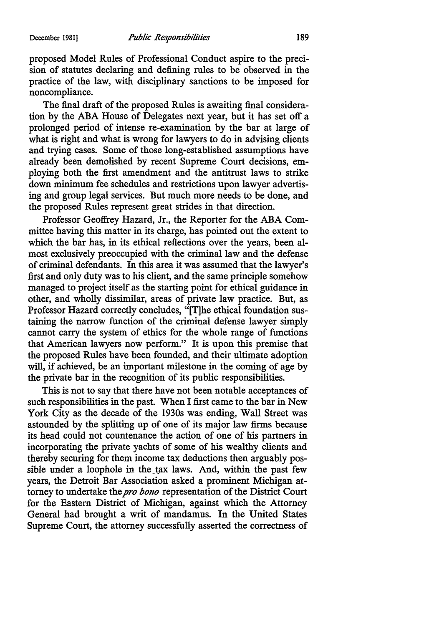proposed Model Rules of Professional Conduct aspire to the precision of statutes declaring and defining rules to be observed in the practice of the law, with disciplinary sanctions to be imposed for noncompliance.

The final draft of the proposed Rules is awaiting final consideration by the ABA House of Delegates next year, but it has set off a prolonged period of intense re-examination by the bar at large of what is right and what is wrong for lawyers to do in advising clients and trying cases. Some of those long-established assumptions have already been demolished by recent Supreme Court decisions, employing both the first amendment and the antitrust laws to strike down minimum fee schedules and restrictions upon lawyer advertising and group legal services. But much more needs to be done, and the proposed Rules represent great strides in that direction.

Professor Geoffrey Hazard, Jr., the Reporter for the ABA Committee having this matter in its charge, has pointed out the extent to which the bar has, in its ethical reflections over the years, been almost exclusively preoccupied with the criminal law and the defense of criminal defendants. In this area it was assumed that the lawyer's first and only duty was to his client, and the same principle somehow managed to project itself as the starting point for ethical guidance in other, and wholly dissimilar, areas of private law practice. But, as Professor Hazard correctly concludes, "[T]he ethical foundation sustaining the narrow function of the criminal defense lawyer simply cannot carry the system of ethics for the whole range of functions that American lawyers now perform." It is upon this premise that the proposed Rules have been founded, and their ultimate adoption will, if achieved, be an important milestone in the coming of age by the private bar in the recognition of its public responsibilities.

This is not to say that there have not been notable acceptances of such responsibilities in the past. When I first came to the bar in New York City as the decade of the 1930s was ending, Wall Street was astounded by the splitting up of one of its major law firms because its head could not countenance the action of one of his partners in incorporating the private yachts of some of his wealthy clients and thereby securing for them income tax deductions then arguably possible under a loophole in the tax laws. And, within the past few years, the Detroit Bar Association asked a prominent Michigan attorney to undertake the *pro bono* representation of the District Court for the Eastern District of Michigan, against which the Attorney General had brought a writ of mandamus. In the United States Supreme Court, the attorney successfully asserted the correctness of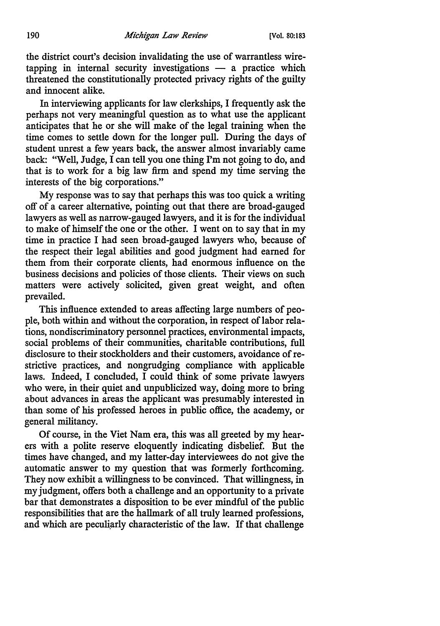the district court's decision invalidating the use of warrantless wiretapping in internal security investigations  $-$  a practice which threatened the constitutionally protected privacy rights of the guilty and innocent alike.

In interviewing applicants for law clerkships, I frequently ask the perhaps not very meaningful question as to what use the applicant anticipates that he or she will make of the legal training when the time comes to settle down for the longer pull. During the days of student unrest a few years back, the answer almost invariably came back: "Well, Judge, I can tell you one thing I'm not going to do, and that is to work for a big law firm and spend my time serving the interests of the big corporations."

My response was to say that perhaps this was too quick a writing off of a career alternative, pointing out that there are broad-gauged lawyers as well as narrow-gauged lawyers, and it is for the individual to make of himself the one or the other. I went on to say that in my time in practice I had seen broad-gauged lawyers who, because of the respect their legal abilities and good judgment had earned for them from their corporate clients, had enormous influence on the business decisions and policies of those clients. Their views on such matters were actively solicited, given great weight, and often prevailed.

This influence extended to areas affecting large numbers of people, both within and without the corporation, in respect of labor relations, nondiscriminatory personnel practices, environmental impacts, social problems of their communities, charitable contributions, full disclosure to their stockholders and their customers, avoidance of restrictive practices, and nongrudging compliance with applicable laws. Indeed, I concluded, I could think of some private lawyers who were, in their quiet and unpublicized way, doing more to bring about advances in areas the applicant was presumably interested in than some of his professed heroes in public office, the academy, or general militancy.

Of course, in the Viet Nam era, this was all greeted by my hearers with a polite reserve eloquently indicating disbelief. But the times have changed, and my latter-day interviewees do not give the automatic answer to my question that was formerly forthcoming. They now exhibit a willingness to be convinced. That willingness, in my judgment, offers both a challenge and an opportunity to a private bar that demonstrates a disposition to be ever mindful of the public responsibilities that are the hallmark of all truly learned professions, and which are peculiarly characteristic of the law. If that challenge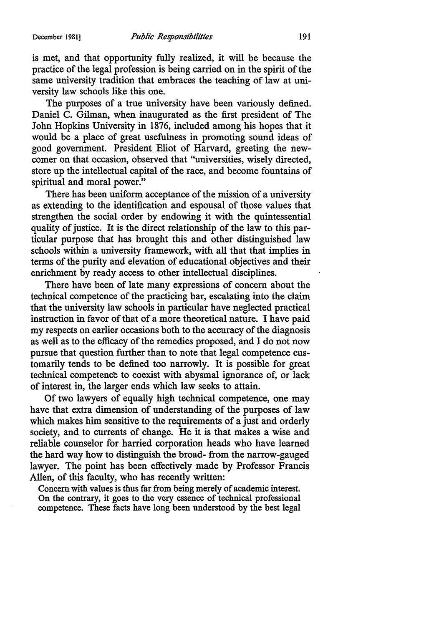is met, and that opportunity fully realized, it will be because the practice of the legal profession is being carried on in the spirit of the same university tradition that embraces the teaching of law at university law schools like this one.

The purposes of a true university have been variously defined. Daniel C. Gilman, when inaugurated as the first president of The John Hopkins University in 1876, included among his hopes that it would be a place of great usefulness in promoting sound ideas of good government. President Eliot of Harvard, greeting the newcomer on that occasion, observed that "universities, wisely directed, store up the intellectual capital of the race, and become fountains of spiritual and moral power."

There has been uniform acceptance of the mission of a university as extending to the identification and espousal of those values that strengthen the social order by endowing it with the quintessential quality of justice. It is the direct relationship of the law to this particular purpose that has brought this and other distinguished law schools within a university framework, with all that that implies in terms of the purity and elevation of educational objectives and their enrichment by ready access to other intellectual disciplines.

There have been of late many expressions of concern about the technical competence of the practicing bar, escalating into the claim that the university law schools in particular have neglected practical instruction in favor of that of a more theoretical nature. I have paid my respects on earlier occasions both to the accuracy of the diagnosis as well as to the efficacy of the remedies proposed, and I do not now pursue that question further than to note that legal competence customarily tends to be defined too narrowly. It is possible for great technical competence to coexist with abysmal ignorance of, or lack of interest in, the larger ends which law seeks to attain.

Of two lawyers of equally high technical competence, one may have that extra dimension of understanding of the purposes of law which makes him sensitive to the requirements of a just and orderly society, and to currents of change. He it is that makes a wise and reliable counselor for harried corporation heads who have learned the hard way how to distinguish the broad- from the narrow-gauged lawyer. The point has been effectively made by Professor Francis Allen, of this faculty, who has recently written:

Concern with values is thus far from being merely of academic interest. On the contrary, it goes to the very essence of technical professional competence. These facts have long been understood by the best legal